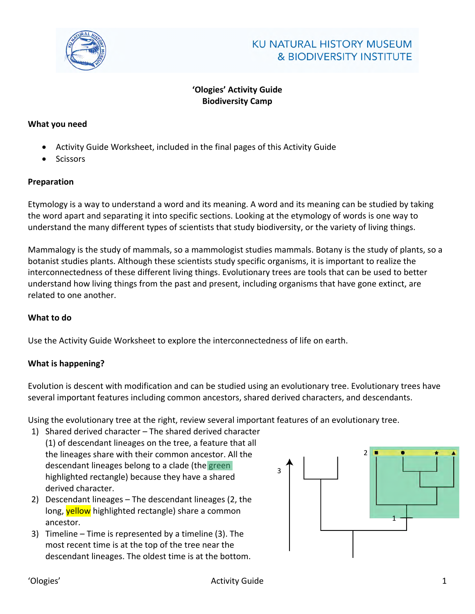

# **'Ologies' Activity Guide Biodiversity Camp**

#### **What you need**

- Activity Guide Worksheet, included in the final pages of this Activity Guide
- **Scissors**

## **Preparation**

Etymology is a way to understand a word and its meaning. A word and its meaning can be studied by taking the word apart and separating it into specific sections. Looking at the etymology of words is one way to understand the many different types of scientists that study biodiversity, or the variety of living things.

Mammalogy is the study of mammals, so a mammologist studies mammals. Botany is the study of plants, so a botanist studies plants. Although these scientists study specific organisms, it is important to realize the interconnectedness of these different living things. Evolutionary trees are tools that can be used to better understand how living things from the past and present, including organisms that have gone extinct, are related to one another.

#### **What to do**

Use the Activity Guide Worksheet to explore the interconnectedness of life on earth.

# **What is happening?**

Evolution is descent with modification and can be studied using an evolutionary tree. Evolutionary trees have several important features including common ancestors, shared derived characters, and descendants.

Using the evolutionary tree at the right, review several important features of an evolutionary tree.

- 1) Shared derived character The shared derived character (1) of descendant lineages on the tree, a feature that all the lineages share with their common ancestor. All the descendant lineages belong to a clade (the green highlighted rectangle) because they have a shared derived character.
- 2) Descendant lineages The descendant lineages (2, the long, yellow highlighted rectangle) share a common ancestor.
- 3) Timeline Time is represented by a timeline (3). The most recent time is at the top of the tree near the descendant lineages. The oldest time is at the bottom.

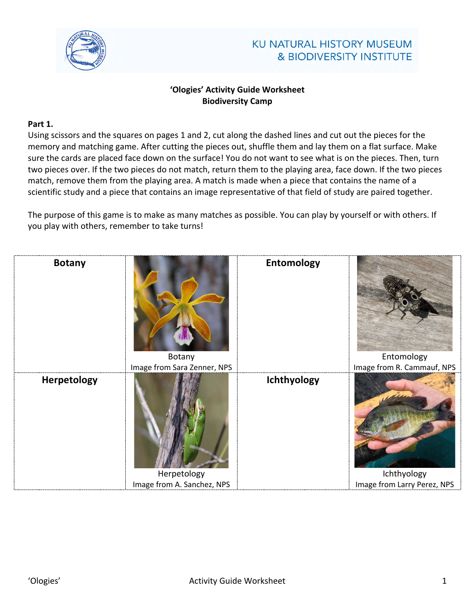

# **KU NATURAL HISTORY MUSEUM & BIODIVERSITY INSTITUTE**

# **'Ologies' Activity Guide Worksheet Biodiversity Camp**

# **Part 1.**

Using scissors and the squares on pages 1 and 2, cut along the dashed lines and cut out the pieces for the memory and matching game. After cutting the pieces out, shuffle them and lay them on a flat surface. Make sure the cards are placed face down on the surface! You do not want to see what is on the pieces. Then, turn two pieces over. If the two pieces do not match, return them to the playing area, face down. If the two pieces match, remove them from the playing area. A match is made when a piece that contains the name of a scientific study and a piece that contains an image representative of that field of study are paired together.

The purpose of this game is to make as many matches as possible. You can play by yourself or with others. If you play with others, remember to take turns!

| <b>Botany</b>      | Botany                                                                   | <b>Entomology</b> | Entomology                                                               |
|--------------------|--------------------------------------------------------------------------|-------------------|--------------------------------------------------------------------------|
| <b>Herpetology</b> | Image from Sara Zenner, NPS<br>Herpetology<br>Image from A. Sanchez, NPS | Ichthyology       | Image from R. Cammauf, NPS<br>Ichthyology<br>Image from Larry Perez, NPS |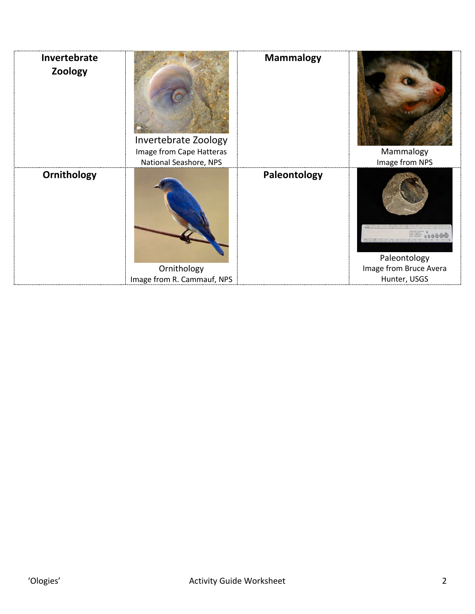| Invertebrate<br>Zoology | Invertebrate Zoology<br>Image from Cape Hatteras<br>National Seashore, NPS | <b>Mammalogy</b> | Mammalogy<br>Image from NPS                            |
|-------------------------|----------------------------------------------------------------------------|------------------|--------------------------------------------------------|
| Ornithology             | Ornithology<br>Image from R. Cammauf, NPS                                  | Paleontology     | Paleontology<br>Image from Bruce Avera<br>Hunter, USGS |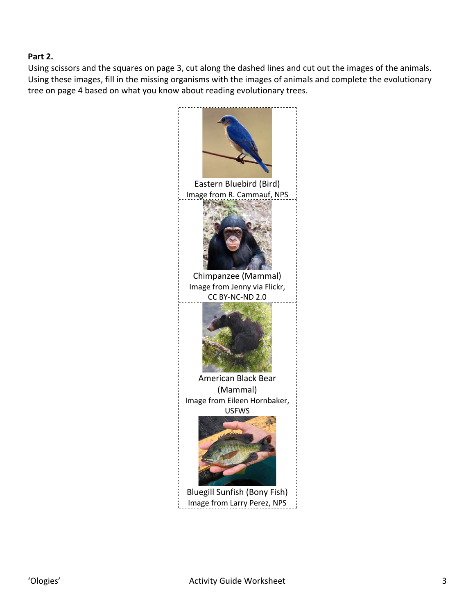## **Part 2.**

Using scissors and the squares on page 3, cut along the dashed lines and cut out the images of the animals. Using these images, fill in the missing organisms with the images of animals and complete the evolutionary tree on page 4 based on what you know about reading evolutionary trees.